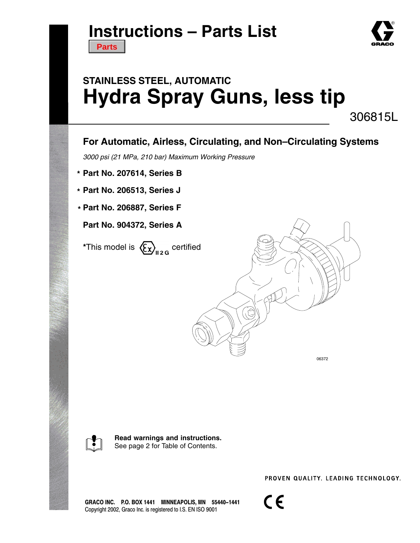## **Instructions – Parts List**

**[Parts](#page-11-0)**

# **STAINLESS STEEL, AUTOMATIC Hydra Spray Guns, less tip**

306815L

### **For Automatic, Airless, Circulating, and Non–Circulating Systems**

*3000 psi (21 MPa, 210 bar) Maximum Working Pressure*

- **Part No. 207614, Series B \***
- **Part No. 206513, Series J \***
- **Part No. 206887, Series F \***

**Part No. 904372, Series A**

**\*This model is**  $\left\langle \sum_{n=2}^{\infty} \right\rangle_{n=2}$  **certified** 



06372



**Read warnings and instructions.** See page 2 for Table of Contents.

PROVEN QUALITY, LEADING TECHNOLOGY,

GRACO INC. P.O. BOX 1441 MINNEAPOLIS, MN 55440-1441 Copyright 2002, Graco Inc. is registered to I.S. EN ISO 9001

 $C \in$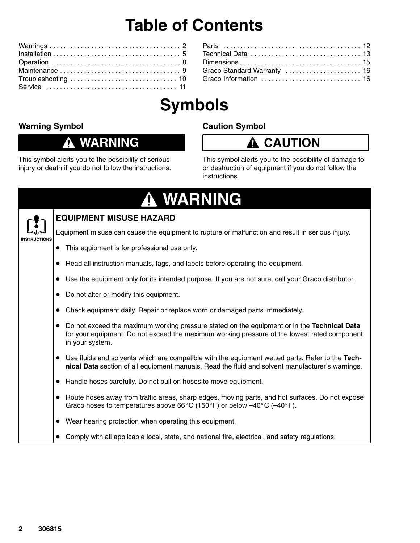## **Table of Contents**

| Graco Standard Warranty  16 |  |
|-----------------------------|--|
|                             |  |
|                             |  |

# **Symbols**

### **Warning Symbol**

### **WARNING**

This symbol alerts you to the possibility of serious injury or death if you do not follow the instructions.

### **Caution Symbol**

## **CAUTION**

This symbol alerts you to the possibility of damage to or destruction of equipment if you do not follow the instructions.

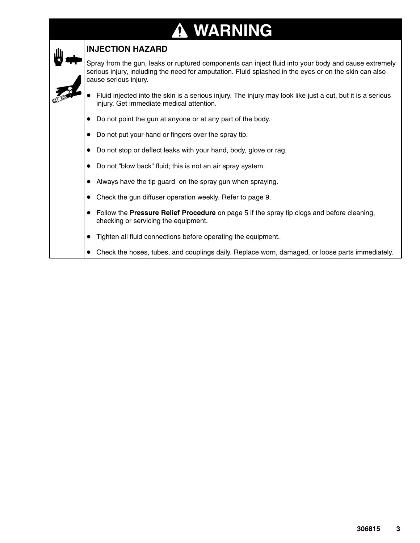# **WARNING**

| <b>INJECTION HAZARD</b>                                                                                                                                                                                                                |  |  |  |  |  |
|----------------------------------------------------------------------------------------------------------------------------------------------------------------------------------------------------------------------------------------|--|--|--|--|--|
| Spray from the gun, leaks or ruptured components can inject fluid into your body and cause extremely<br>serious injury, including the need for amputation. Fluid splashed in the eyes or on the skin can also<br>cause serious injury. |  |  |  |  |  |
| Fluid injected into the skin is a serious injury. The injury may look like just a cut, but it is a serious<br>injury. Get immediate medical attention.                                                                                 |  |  |  |  |  |
| Do not point the gun at anyone or at any part of the body.                                                                                                                                                                             |  |  |  |  |  |
| Do not put your hand or fingers over the spray tip.                                                                                                                                                                                    |  |  |  |  |  |
| Do not stop or deflect leaks with your hand, body, glove or rag.                                                                                                                                                                       |  |  |  |  |  |
| Do not "blow back" fluid; this is not an air spray system.                                                                                                                                                                             |  |  |  |  |  |
| Always have the tip guard on the spray gun when spraying.                                                                                                                                                                              |  |  |  |  |  |
| Check the gun diffuser operation weekly. Refer to page 9.                                                                                                                                                                              |  |  |  |  |  |
| Follow the Pressure Relief Procedure on page 5 if the spray tip clogs and before cleaning,<br>checking or servicing the equipment.                                                                                                     |  |  |  |  |  |
| Tighten all fluid connections before operating the equipment.                                                                                                                                                                          |  |  |  |  |  |
| Check the hoses, tubes, and couplings daily. Replace worn, damaged, or loose parts immediately.                                                                                                                                        |  |  |  |  |  |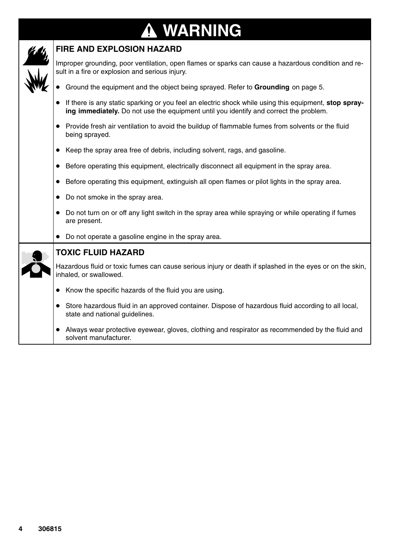### **WARNING ↑**



#### **FIRE AND EXPLOSION HAZARD**

Improper grounding, poor ventilation, open flames or sparks can cause a hazardous condition and result in a fire or explosion and serious injury.

- **Ground the equipment and the object being sprayed. Refer to Grounding** on page 5.
- If there is any static sparking or you feel an electric shock while using this equipment, **stop spraying immediately.** Do not use the equipment until you identify and correct the problem.
- Provide fresh air ventilation to avoid the buildup of flammable fumes from solvents or the fluid being sprayed.
- Keep the spray area free of debris, including solvent, rags, and gasoline.
- **Before operating this equipment, electrically disconnect all equipment in the spray area.**
- **Before operating this equipment, extinguish all open flames or pilot lights in the spray area.**
- Do not smoke in the spray area.
- Do not turn on or off any light switch in the spray area while spraying or while operating if fumes are present.
- Do not operate a gasoline engine in the spray area.



#### **TOXIC FLUID HAZARD**

Hazardous fluid or toxic fumes can cause serious injury or death if splashed in the eyes or on the skin, inhaled, or swallowed.

- Know the specific hazards of the fluid you are using.
- Store hazardous fluid in an approved container. Dispose of hazardous fluid according to all local, state and national guidelines.
- Always wear protective eyewear, gloves, clothing and respirator as recommended by the fluid and solvent manufacturer.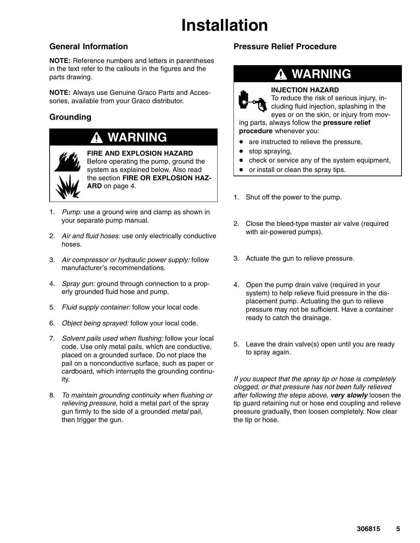# **Installation**

### **General Information**

**NOTE:** Reference numbers and letters in parentheses in the text refer to the callouts in the figures and the parts drawing.

**NOTE:** Always use Genuine Graco Parts and Accessories, available from your Graco distributor.

### **Grounding**

## **WARNING**



**FIRE AND EXPLOSION HAZARD** Before operating the pump, ground the system as explained below. Also read the section **FIRE OR EXPLOSION HAZ-ARD** on page 4.

- 1. *Pump:* use a ground wire and clamp as shown in your separate pump manual.
- 2. *Air and fluid hoses:* use only electrically conductive hoses.
- 3. *Air compressor or hydraulic power supply:* follow manufacturer's recommendations.
- 4. *Spray gun:* ground through connection to a properly grounded fluid hose and pump.
- 5. *Fluid supply container:* follow your local code.
- 6. *Object being sprayed:* follow your local code.
- 7. *Solvent pails used when flushing:* follow your local code. Use only metal pails, which are conductive, placed on a grounded surface. Do not place the pail on a nonconductive surface, such as paper or cardboard, which interrupts the grounding continuity.
- 8. *To maintain grounding continuity when flushing or relieving pressure*, hold a metal part of the spray gun firmly to the side of a grounded *metal* pail, then trigger the gun.

### **Pressure Relief Procedure**



#### **INJECTION HAZARD**

To reduce the risk of serious injury, including fluid injection, splashing in the eyes or on the skin, or injury from mov-

ing parts, always follow the **pressure relief procedure** whenever you:

- are instructed to relieve the pressure,
- stop spraying,
- check or service any of the system equipment,
- or install or clean the spray tips.
- 1. Shut off the power to the pump.
- 2. Close the bleed-type master air valve (required with air-powered pumps).
- 3. Actuate the gun to relieve pressure.
- 4. Open the pump drain valve (required in your system) to help relieve fluid pressure in the displacement pump. Actuating the gun to relieve pressure may not be sufficient. Have a container ready to catch the drainage.
- 5. Leave the drain valve(s) open until you are ready to spray again.

*If you suspect that the spray tip or hose is completely clogged, or that pressure has not been fully relieved after following the steps above, very slowly* loosen the tip guard retaining nut or hose end coupling and relieve pressure gradually, then loosen completely. Now clear the tip or hose.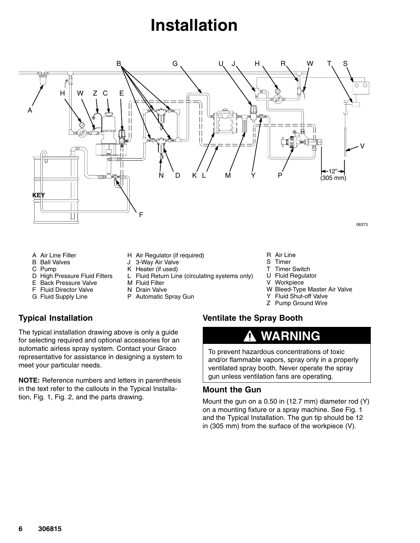## **Installation**



- A Air Line Filter
- B Ball Valves
- C Pump
- D High Pressure Fluid Filters
- E Back Pressure Valve
- F Fluid Director Valve
- G Fluid Supply Line
- **Typical Installation**

The typical installation drawing above is only a guide for selecting required and optional accessories for an automatic airless spray system. Contact your Graco representative for assistance in designing a system to meet your particular needs.

**NOTE:** Reference numbers and letters in parenthesis in the text refer to the callouts in the Typical Installation, Fig. 1, Fig. 2, and the parts drawing.

- H Air Regulator (if required)
- J 3-Way Air Valve
- K Heater (if used)
- L Fluid Return Line (circulating systems only)
- M Fluid Filter
- N Drain Valve
- P Automatic Spray Gun
- R Air Line
- S Timer
- T Timer Switch
- U Fluid Regulator
- V **Workpiece**
- W Bleed-Type Master Air Valve
- Y Fluid Shut-off Valve
- Z Pump Ground Wire

#### **Ventilate the Spray Booth**

### **WARNING**

To prevent hazardous concentrations of toxic and/or flammable vapors, spray only in a properly ventilated spray booth. Never operate the spray gun unless ventilation fans are operating.

#### **Mount the Gun**

Mount the gun on a 0.50 in (12.7 mm) diameter rod (Y) on a mounting fixture or a spray machine. See Fig. 1 and the Typical Installation. The gun tip should be 12 in (305 mm) from the surface of the workpiece (V).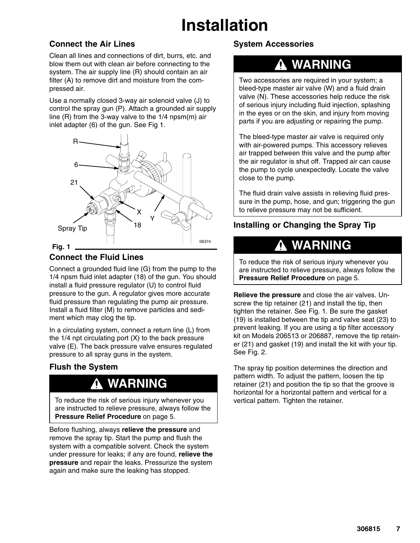# **Installation**

### **Connect the Air Lines**

Clean all lines and connections of dirt, burrs, etc. and blow them out with clean air before connecting to the system. The air supply line (R) should contain an air filter (A) to remove dirt and moisture from the compressed air.

Use a normally closed 3-way air solenoid valve (J) to control the spray gun (P). Attach a grounded air supply line (R) from the 3-way valve to the 1/4 npsm(m) air inlet adapter (6) of the gun. See Fig 1.



### **Connect the Fluid Lines**

Connect a grounded fluid line (G) from the pump to the 1/4 npsm fluid inlet adapter (18) of the gun. You should install a fluid pressure regulator (U) to control fluid pressure to the gun. A regulator gives more accurate fluid pressure than regulating the pump air pressure. Install a fluid filter (M) to remove particles and sediment which may clog the tip.

In a circulating system, connect a return line (L) from the 1/4 npt circulating port (X) to the back pressure valve (E). The back pressure valve ensures regulated pressure to all spray guns in the system.

### **Flush the System**

## **WARNING**

To reduce the risk of serious injury whenever you are instructed to relieve pressure, always follow the **Pressure Relief Procedure** on page 5.

Before flushing, always **relieve the pressure** and remove the spray tip. Start the pump and flush the system with a compatible solvent. Check the system under pressure for leaks; if any are found, **relieve the pressure** and repair the leaks. Pressurize the system again and make sure the leaking has stopped.

### **System Accessories**

### **WARNING**

Two accessories are required in your system; a bleed-type master air valve (W) and a fluid drain valve (N). These accessories help reduce the risk of serious injury including fluid injection, splashing in the eyes or on the skin, and injury from moving parts if you are adjusting or repairing the pump.

The bleed-type master air valve is required only with air-powered pumps. This accessory relieves air trapped between this valve and the pump after the air regulator is shut off. Trapped air can cause the pump to cycle unexpectedly. Locate the valve close to the pump.

The fluid drain valve assists in relieving fluid pressure in the pump, hose, and gun; triggering the gun to relieve pressure may not be sufficient.

### **Installing or Changing the Spray Tip**

### **WARNING**

To reduce the risk of serious injury whenever you are instructed to relieve pressure, always follow the **Pressure Relief Procedure** on page 5.

**Relieve the pressure** and close the air valves. Unscrew the tip retainer (21) and install the tip, then tighten the retainer. See Fig. 1. Be sure the gasket (19) is installed between the tip and valve seat (23) to prevent leaking. If you are using a tip filter accessory kit on Models 206513 or 206887, remove the tip retainer (21) and gasket (19) and install the kit with your tip. See Fig. 2.

The spray tip position determines the direction and pattern width. To adjust the pattern, loosen the tip retainer (21) and position the tip so that the groove is horizontal for a horizontal pattern and vertical for a vertical pattern. Tighten the retainer.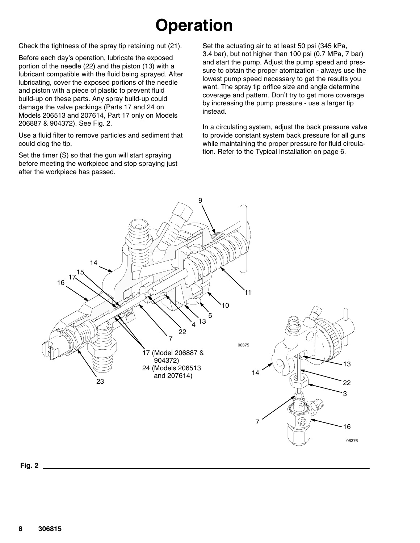# **Operation**

Check the tightness of the spray tip retaining nut (21).

Before each day's operation, lubricate the exposed portion of the needle (22) and the piston (13) with a lubricant compatible with the fluid being sprayed. After lubricating, cover the exposed portions of the needle and piston with a piece of plastic to prevent fluid build-up on these parts. Any spray build-up could damage the valve packings (Parts 17 and 24 on Models 206513 and 207614, Part 17 only on Models 206887 & 904372). See Fig. 2.

Use a fluid filter to remove particles and sediment that could clog the tip.

Set the timer (S) so that the gun will start spraying before meeting the workpiece and stop spraying just after the workpiece has passed.

Set the actuating air to at least 50 psi (345 kPa, 3.4 bar), but not higher than 100 psi (0.7 MPa, 7 bar) and start the pump. Adjust the pump speed and pressure to obtain the proper atomization - always use the lowest pump speed necessary to get the results you want. The spray tip orifice size and angle determine coverage and pattern. Don't try to get more coverage by increasing the pump pressure - use a larger tip instead.

In a circulating system, adjust the back pressure valve to provide constant system back pressure for all guns while maintaining the proper pressure for fluid circulation. Refer to the Typical Installation on page 6.



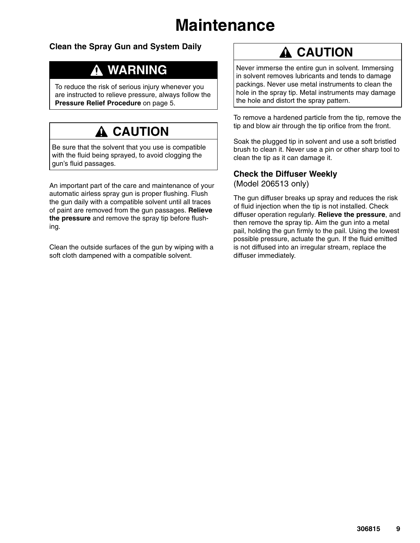## **Maintenance**

### **Clean the Spray Gun and System Daily**

## **WARNING**

To reduce the risk of serious injury whenever you are instructed to relieve pressure, always follow the **Pressure Relief Procedure** on page 5.

## **A** CAUTION

Be sure that the solvent that you use is compatible with the fluid being sprayed, to avoid clogging the gun's fluid passages.

An important part of the care and maintenance of your automatic airless spray gun is proper flushing. Flush the gun daily with a compatible solvent until all traces of paint are removed from the gun passages. **Relieve the pressure** and remove the spray tip before flushing.

Clean the outside surfaces of the gun by wiping with a soft cloth dampened with a compatible solvent.

## **A CAUTION**

Never immerse the entire gun in solvent. Immersing in solvent removes lubricants and tends to damage packings. Never use metal instruments to clean the hole in the spray tip. Metal instruments may damage the hole and distort the spray pattern.

To remove a hardened particle from the tip, remove the tip and blow air through the tip orifice from the front.

Soak the plugged tip in solvent and use a soft bristled brush to clean it. Never use a pin or other sharp tool to clean the tip as it can damage it.

#### **Check the Diffuser Weekly** (Model 206513 only)

The gun diffuser breaks up spray and reduces the risk of fluid injection when the tip is not installed. Check diffuser operation regularly. **Relieve the pressure**, and then remove the spray tip. Aim the gun into a metal pail, holding the gun firmly to the pail. Using the lowest possible pressure, actuate the gun. If the fluid emitted is not diffused into an irregular stream, replace the diffuser immediately.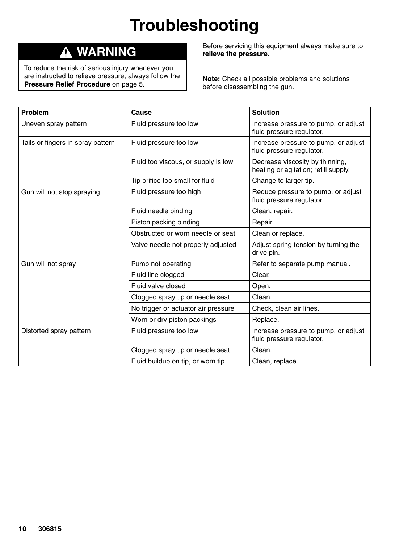# **Troubleshooting**

### **WARNING**

To reduce the risk of serious injury whenever you are instructed to relieve pressure, always follow the **Pressure Relief Procedure** on page 5.

Before servicing this equipment always make sure to **relieve the pressure**.

**Note:** Check all possible problems and solutions before disassembling the gun.

| Problem                           | Cause                               | <b>Solution</b>                                                         |  |
|-----------------------------------|-------------------------------------|-------------------------------------------------------------------------|--|
| Uneven spray pattern              | Fluid pressure too low              | Increase pressure to pump, or adjust<br>fluid pressure regulator.       |  |
| Tails or fingers in spray pattern | Fluid pressure too low              | Increase pressure to pump, or adjust<br>fluid pressure regulator.       |  |
|                                   | Fluid too viscous, or supply is low | Decrease viscosity by thinning,<br>heating or agitation; refill supply. |  |
|                                   | Tip orifice too small for fluid     | Change to larger tip.                                                   |  |
| Gun will not stop spraying        | Fluid pressure too high             | Reduce pressure to pump, or adjust<br>fluid pressure regulator.         |  |
|                                   | Fluid needle binding                | Clean, repair.                                                          |  |
|                                   | Piston packing binding              | Repair.                                                                 |  |
|                                   | Obstructed or worn needle or seat   | Clean or replace.                                                       |  |
|                                   | Valve needle not properly adjusted  | Adjust spring tension by turning the<br>drive pin.                      |  |
| Gun will not spray                | Pump not operating                  | Refer to separate pump manual.                                          |  |
|                                   | Fluid line clogged                  | Clear.                                                                  |  |
|                                   | Fluid valve closed                  | Open.                                                                   |  |
|                                   | Clogged spray tip or needle seat    | Clean.                                                                  |  |
|                                   | No trigger or actuator air pressure | Check, clean air lines.                                                 |  |
|                                   | Worn or dry piston packings         | Replace.                                                                |  |
| Distorted spray pattern           | Fluid pressure too low              | Increase pressure to pump, or adjust<br>fluid pressure regulator.       |  |
|                                   | Clogged spray tip or needle seat    | Clean.                                                                  |  |
|                                   | Fluid buildup on tip, or worn tip   | Clean, replace.                                                         |  |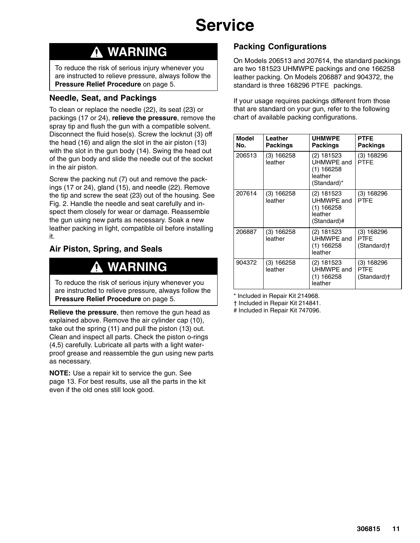## **Service**

## **WARNING**

To reduce the risk of serious injury whenever you are instructed to relieve pressure, always follow the **Pressure Relief Procedure** on page 5.

#### **Needle, Seat, and Packings**

To clean or replace the needle (22), its seat (23) or packings (17 or 24), **relieve the pressure**, remove the spray tip and flush the gun with a compatible solvent. Disconnect the fluid hose(s). Screw the locknut (3) off the head (16) and align the slot in the air piston (13) with the slot in the gun body (14). Swing the head out of the gun body and slide the needle out of the socket in the air piston.

Screw the packing nut (7) out and remove the packings (17 or 24), gland (15), and needle (22). Remove the tip and screw the seat (23) out of the housing. See Fig. 2. Handle the needle and seat carefully and inspect them closely for wear or damage. Reassemble the gun using new parts as necessary. Soak a new leather packing in light, compatible oil before installing it.

### **Air Piston, Spring, and Seals**

### **WARNING**

To reduce the risk of serious injury whenever you are instructed to relieve pressure, always follow the **Pressure Relief Procedure** on page 5.

**Relieve the pressure**, then remove the gun head as explained above. Remove the air cylinder cap (10), take out the spring (11) and pull the piston (13) out. Clean and inspect all parts. Check the piston o-rings (4,5) carefully. Lubricate all parts with a light waterproof grease and reassemble the gun using new parts as necessary.

**NOTE:** Use a repair kit to service the gun. See page 13. For best results, use all the parts in the kit even if the old ones still look good.

### **Packing Configurations**

On Models 206513 and 207614, the standard packings are two 181523 UHMWPE packings and one 166258 leather packing. On Models 206887 and 904372, the standard is three 168296 PTFE packings.

If your usage requires packings different from those that are standard on your gun, refer to the following chart of available packing configurations.

| <b>Model</b><br>No. | Leather<br>Packings   | <b>UHMWPE</b><br>Packings                                          | <b>PTFE</b><br><b>Packings</b>                         |
|---------------------|-----------------------|--------------------------------------------------------------------|--------------------------------------------------------|
| 206513              | (3) 166258<br>leather | (2) 181523<br>UHMWPE and<br>(1) 166258<br>leather<br>(Standard)*   | $(3)$ 168296<br><b>PTFF</b>                            |
| 207614              | (3) 166258<br>leather | (2) 181523<br>UHMWPE and<br>$(1)$ 166258<br>leather<br>(Standard)# | $(3)$ 168296<br><b>PTFF</b>                            |
| 206887              | (3) 166258<br>leather | (2) 181523<br>UHMWPE and<br>(1) 166258<br>leather                  | $(3)$ 168296<br><b>PTFF</b><br>(Standard) <sup>+</sup> |
| 904372              | (3) 166258<br>leather | (2) 181523<br>UHMWPE and<br>(1) 166258<br>leather                  | $(3)$ 168296<br>PTFE<br>(Standard)†                    |

\* Included in Repair Kit 214968.

† Included in Repair Kit 214841.

# Included in Repair Kit 747096.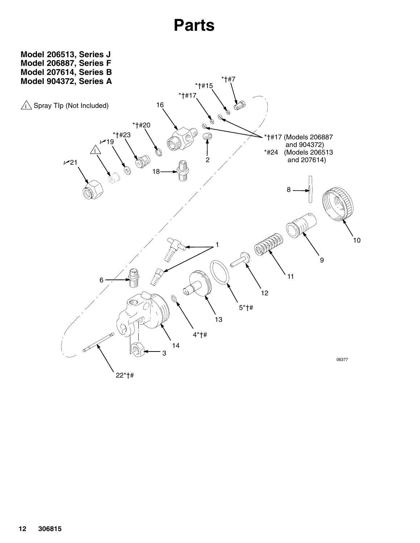## **Parts**

<span id="page-11-0"></span>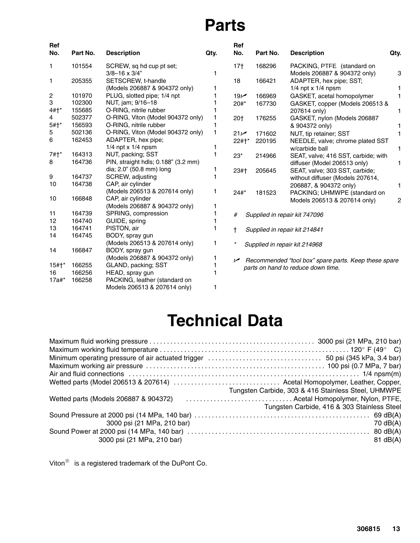## **Parts**

| Ref<br>No.         | Part No. | <b>Description</b>                  | Qty. | Ref<br>No.      | Part No. | <b>Description</b>                                   | Qty.           |
|--------------------|----------|-------------------------------------|------|-----------------|----------|------------------------------------------------------|----------------|
| 1.                 | 101554   | SCREW, sq hd cup pt set;            |      | 17 <sub>†</sub> | 168296   | PACKING, PTFE (standard on                           |                |
|                    |          | $3/8 - 16 \times 3/4$ "             |      |                 |          | Models 206887 & 904372 only)                         | 3              |
| 1.                 | 205355   | SETSCREW, t-handle                  |      | 18              | 166421   | ADAPTER, hex pipe; SST;                              |                |
|                    |          | (Models 206887 & 904372 only)       |      |                 |          | $1/4$ npt x $1/4$ npsm                               |                |
| 2                  | 101970   | PLUG, slotted pipe; 1/4 npt         |      | 19 <sub>k</sub> | 166969   | GASKET, acetal homopolymer                           | 1              |
| 3                  | 102300   | NUT, jam; 9/16-18                   |      | $20#*$          | 167730   | GASKET, copper (Models 206513 &                      |                |
| $4#$ <sup>*</sup>  | 155685   | O-RING, nitrile rubber              |      |                 |          | 207614 only)                                         | 1              |
| 4                  | 502377   | O-RING, Viton (Model 904372 only)   |      | 20†             | 176255   | GASKET, nylon (Models 206887                         |                |
| $5#1*$             | 156593   | O-RING, nitrile rubber              |      |                 |          | & 904372 only)                                       |                |
| 5                  | 502136   | O-RING, Viton (Model 904372 only)   | 1    | 21 <sup>2</sup> | 171602   | NUT, tip retainer; SST                               | 1              |
| 6                  | 162453   | ADAPTER, hex pipe;                  |      | 22#†*           | 220195   | NEEDLE, valve; chrome plated SST                     |                |
|                    |          | $1/4$ npt x $1/4$ npsm              |      |                 |          | w/carbide ball                                       | 1              |
| $7#1*$             | 164313   | NUT, packing; SST                   |      | $23*$           | 214966   | SEAT, valve; 416 SST, carbide; with                  |                |
| 8                  | 164736   | PIN, straight hdls; 0.188" (3.2 mm) |      |                 |          | diffuser (Model 206513 only)                         | 1              |
|                    |          | dia; 2.0" (50.8 mm) long            |      | $23#+$          | 205645   | SEAT, valve; 303 SST, carbide;                       |                |
| 9                  | 164737   | SCREW, adjusting                    |      |                 |          | without diffuser (Models 207614,                     |                |
| 10                 | 164738   | CAP, air cylinder                   |      |                 |          | 206887, & 904372 only)                               | 1              |
|                    |          | (Models 206513 & 207614 only)       | 1    | $24#*$          | 181523   | PACKING; UHMWPE (standard on                         |                |
| 10                 | 166848   | CAP, air cylinder                   |      |                 |          | Models 206513 & 207614 only)                         | $\overline{c}$ |
|                    |          | (Models 206887 & 904372 only)       | 1    |                 |          |                                                      |                |
| 11                 | 164739   | SPRING, compression                 |      | #               |          | Supplied in repair kit 747096                        |                |
| 12                 | 164740   | GUIDE, spring                       |      |                 |          |                                                      |                |
| 13                 | 164741   | PISTON, air                         |      | t               |          | Supplied in repair kit 214841                        |                |
| 14                 | 164745   | BODY, spray gun                     |      |                 |          |                                                      |                |
|                    |          | (Models 206513 & 207614 only)       | 1    |                 |          | Supplied in repair kit 214968                        |                |
| 14                 | 166847   | BODY, spray gun                     |      |                 |          |                                                      |                |
|                    |          | (Models 206887 & 904372 only)       | 1    | ↙               |          | Recommended "tool box" spare parts. Keep these spare |                |
| $15#$ <sup>*</sup> | 166255   | GLAND, packing; SST                 |      |                 |          | parts on hand to reduce down time.                   |                |
| 16                 | 166256   | HEAD, spray gun                     |      |                 |          |                                                      |                |
| $17a#*$            | 166258   | PACKING, leather (standard on       |      |                 |          |                                                      |                |
|                    |          | Models 206513 & 207614 only)        | 1    |                 |          |                                                      |                |

## **Technical Data**

|                                       | Tungsten Carbide, 303 & 416 Stainless Steel, UHMWPE |
|---------------------------------------|-----------------------------------------------------|
| Wetted parts (Models 206887 & 904372) | Acetal Homopolymer, Nylon, PTFE,                    |
|                                       | Tungsten Carbide, 416 & 303 Stainless Steel         |
|                                       |                                                     |
| 3000 psi (21 MPa, 210 bar)            | 70 $dB(A)$                                          |
|                                       |                                                     |
| 3000 psi (21 MPa, 210 bar)            | $81$ dB(A)                                          |

Viton $^{\circledR}$  is a registered trademark of the DuPont Co.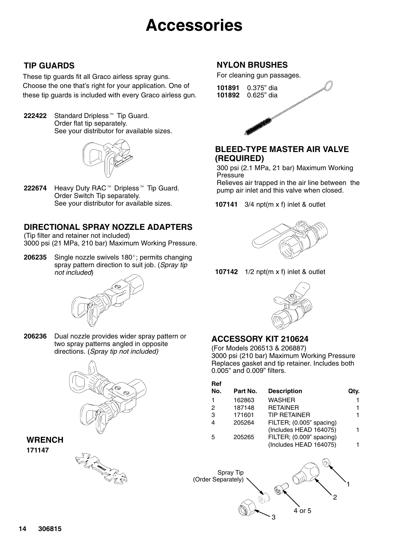## **Accessories**

### **TIP GUARDS**

These tip guards fit all Graco airless spray guns. Choose the one that's right for your application. One of these tip guards is included with every Graco airless gun.

**222422** Standard Dripless<sup>™</sup> Tip Guard. Order flat tip separately. See your distributor for available sizes.



**222674** Heavy Duty RAC<sup>™</sup> Dripless<sup>™</sup> Tip Guard. Order Switch Tip separately. See your distributor for available sizes.

### **DIRECTIONAL SPRAY NOZZLE ADAPTERS**

(Tip filter and retainer not included) 3000 psi (21 MPa, 210 bar) Maximum Working Pressure.

206235 Single nozzle swivels 180°; permits changing spray pattern direction to suit job. (*Spray tip not included*)



**206236** Dual nozzle provides wider spray pattern or two spray patterns angled in opposite directions. (*Spray tip not included)*



#### **WRENCH 171147**



### **NYLON BRUSHES**

For cleaning gun passages.

**101891** 0.375" dia **101892** 0.625" dia

#### **BLEED-TYPE MASTER AIR VALVE (REQUIRED)**

300 psi (2.1 MPa, 21 bar) Maximum Working Pressure

Relieves air trapped in the air line between the pump air inlet and this valve when closed.

**107141** 3/4 npt(m x f) inlet & outlet



**107142** 1/2 npt(m x f) inlet & outlet



### **ACCESSORY KIT 210624**

(For Models 206513 & 206887) 3000 psi (210 bar) Maximum Working Pressure Replaces gasket and tip retainer. Includes both 0.005" and 0.009" filters.

| Ref |          |                          |      |
|-----|----------|--------------------------|------|
| No. | Part No. | <b>Description</b>       | Qtv. |
|     | 162863   | <b>WASHER</b>            | 1    |
| 2   | 187148   | <b>RETAINER</b>          | 1    |
| 3   | 171601   | <b>TIP RETAINER</b>      | 1    |
| 4   | 205264   | FILTER; (0.005" spacing) |      |
|     |          | (Includes HEAD 164075)   | 1    |
| 5   | 205265   | FILTER; (0.009" spacing) |      |
|     |          | (Includes HEAD 164075)   |      |
|     |          |                          |      |

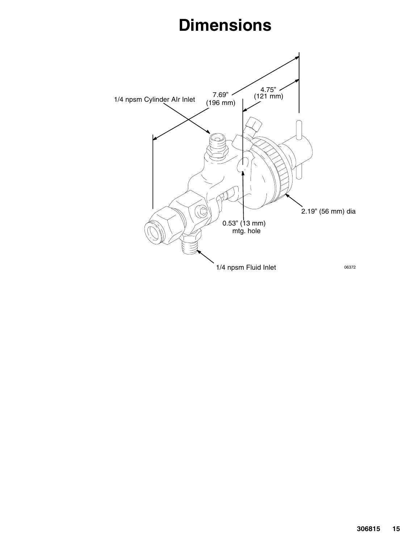## **Dimensions**